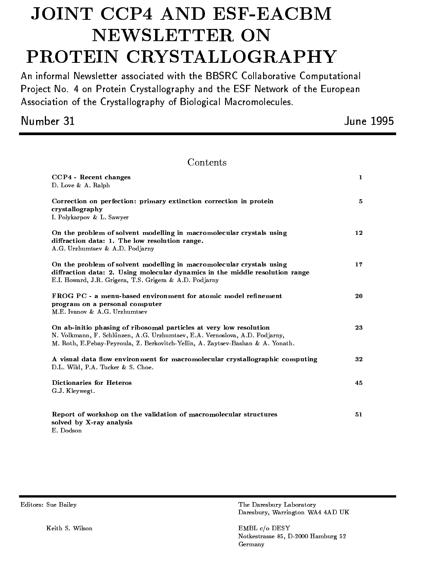# JOINT CCP4 AND ESF-EACBM NEWSLETTER ON PROTEIN CRYSTALLOGRAPHY

An informal Newsletter associated with the BBSRC Collaborative Computational Project No. 4 on Protein Crystallography and the ESF Network of the European Association of the Crystallography of Biological Macromolecules.

Number 31

June 1995

# Contents

| CCP4 - Recent changes<br>D. Love & A. Ralph                                                                                                                                                                                          | 1  |
|--------------------------------------------------------------------------------------------------------------------------------------------------------------------------------------------------------------------------------------|----|
| Correction on perfection: primary extinction correction in protein<br>crystallography<br>I. Polykarpov & L. Sawyer                                                                                                                   | 5  |
| On the problem of solvent modelling in macromolecular crystals using<br>diffraction data: 1. The low resolution range.<br>A.G. Urzhumtsev & A.D. Podjarny                                                                            | 12 |
| On the problem of solvent modelling in macromolecular crystals using<br>diffraction data: 2. Using molecular dynamics in the middle resolution range<br>E.I. Howard, J.R. Grigera, T.S. Grigera & A.D. Podjarny                      | 17 |
| FROG PC - a menu-based environment for atomic model refinement<br>program on a personal computer<br>M.E. Ivanov & A.G. Urzhumtsev                                                                                                    | 20 |
| On ab-initio phasing of ribosomal particles at very low resolution<br>N. Volkmann, F. Schlünzen, A.G. Urzhumtsev, E.A. Vernoslova, A.D. Podjarny,<br>M. Roth, E.Pebay-Peyroula, Z. Berkovitch-Yellin, A. Zaytsev-Bashan & A. Yonath. | 23 |
| A visual data flow environment for macromolecular crystallographic computing<br>D.L. Wild, P.A. Tucker & S. Choe.                                                                                                                    | 32 |
| <b>Dictionaries for Heteros</b><br>G.J. Kleywegt.                                                                                                                                                                                    | 45 |
| Report of workshop on the validation of macromolecular structures<br>solved by X-ray analysis<br>E. Dodson                                                                                                                           | 51 |

The Daresbury Laboratory Daresbury, Warrington WA4 4AD UK

EMBL c/o DESY Notkestrasse 85, D-2000 Hamburg 52 Germany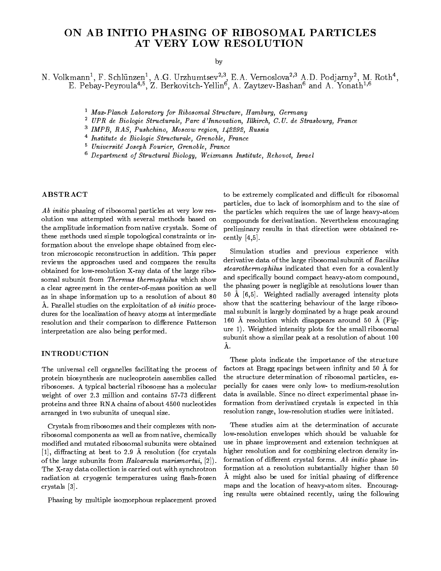# ON AB INITIO PHASING OF RIBOSOMAL PARTICLES AT VERY LOW RESOLUTION

by

N. Volkmann<sup>-</sup>, F. Schlunzen<sup>-</sup>, A.G. Urzhumtsev<sup>-, I</sup>. E.A. Vernoslova<sup>-, -</sup> A.D. Podjarny<sup>-</sup>, M. Roth<sup>-</sup>,<br>E. Pebay-Peyroula<sup>4,5</sup>, Z. Berkovitch-Yellin<sup>6</sup>, A. Zaytzev-Bashan<sup>6</sup> and A. Yonath<sup>1,6</sup>

- <sup>1</sup> Max-Planck Laboratory for Ribosomal Structure, Hamburg, Germany
- <sup>2</sup> UPR de Biologie Structurale, Parc d'Innovation, Il lkirch, C.U. de Strasbourg, France
- <sup>3</sup> IMPB, RAS, Pushchino, Moscow region, 142292, Russia
- <sup>4</sup> Institute de Biologie Structurale, Grenoble, France
- <sup>5</sup> Universite Joseph Fourier, Grenoble, France
- <sup>6</sup> Department of Structural Biology, Weizmann Institute, Rehovot, Israel

## ABSTRACT

Ab initio phasing of ribosomal particles at very low resolution was attempted with several methods based on the amplitude information from native crystals. Some of these methods used simple topological constraints or information about the envelope shape obtained from electron microscopic reconstruction in addition. This paper reviews the approaches used and compares the results obtained for low-resolution X-ray data of the large ribosomal subunit from Thermus thermophilus which show a clear agreement in the center-of-mass position as well as in shape information up to a resolution of about 80 Å. Parallel studies on the exploitation of ab initio procedures for the localization of heavy atoms at intermediate resolution and their comparison to difference Patterson interpretation are also being performed.

#### INTRODUCTION

The universal cell organelles facilitating the process of protein biosynthesis are nucleoprotein assemblies called ribosomes. A typical bacterial ribosome has a molecular weight of over 2.3 million and contains 57-73 different proteins and three RNA chains of about 4500 nucleotides arranged in two subunits of unequal size.

Crystals from ribosomes and their complexes with nonribosomal components as well as from native, chemically modied and mutated ribosomal subunits were obtained [1], diffracting at best to 2.9 Å resolution (for crystals of the large subunits from Haloarcula marismortui,  $[2]$ . The X-ray data collection is carried out with synchrotron radiation at cryogenic temperatures using flash-frozen crystals [3].

Phasing by multiple isomorphous replacement proved

to be extremely complicated and difficult for ribosomal particles, due to lack of isomorphism and to the size of the particles which requires the use of large heavy-atom compounds for derivatization. Nevertheless encouraging preliminary results in that direction were obtained recently  $[4,5]$ .

Simulation studies and previous experience with derivative data of the large ribosomal subunit of Bacillus stearothermophilus indicated that even for a covalently and specifically bound compact heavy-atom compound, the phasing power is negligible at resolutions lower than 50 A [6,5]. Weighted radially averaged intensity plots show that the scattering behaviour of the large ribosomal subunit is largely dominated by a huge peak around 160 Å resolution which disappears around 50 Å (Figure 1). Weighted intensity plots for the small ribosomal subunit show a similar peak at a resolution of about 100 A.

These plots indicate the importance of the structure factors at Bragg spacings between infinity and 50 Å for the structure determination of ribosomal particles, especially for cases were only low- to medium-resolution data is available. Since no direct experimental phase information from derivatized crystals is expected in this resolution range, low-resolution studies were initiated.

These studies aim at the determination of accurate low-resolution envelopes which should be valuable for use in phase improvement and extension techniques at higher resolution and for combining electron density information of different crystal forms. Ab initio phase information at a resolution substantially higher than 50 A might also be used for initial phasing of difference maps and the location of heavy-atom sites. Encouraging results were obtained recently, using the following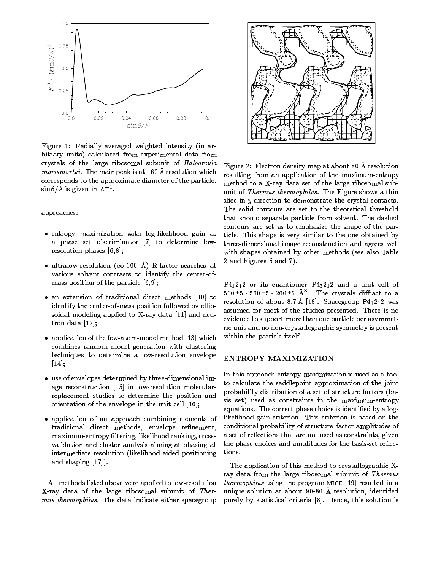

Figure 1: Radially averaged weighted intensity (in arbitrary units) calculated from experimental data from crystals of the large ribosomal subunit of Haloarcula marismortui. The main peak is at 160 Å resolution which corresponds to the approximate diameter of the particle.  $\sin \theta / \lambda$  is given in A<sup>1</sup>.

approaches:

- entropy maximization with log-likelihood gain as a phase set discriminator [7] to determine lowresolution phases [6,8];
- ultralow-resolution ( $\infty$ -100 Å) R-factor searches at various solvent contrasts to identify the center-of mass position of the particle [6,9];
- an extension of traditional direct methods [10] to identify the center-of-mass position followed by ellipsoidal modeling applied to X-ray data [11] and neutron data [12];
- application of the few-atom-model method [13] which combines random model generation with clustering techniques to determine a low-resolution envelope [14];
- use of envelopes determined by three-dimensional image reconstruction [15] in low-resolution molecularreplacement studies to determine the position and orientation of the envelope in the unit cell [16];
- application of an approach combining elements of traditional direct methods, envelope refinement, maximum-entropy ltering, likelihood ranking, crossvalidation and cluster analysis aiming at phasing at intermediate resolution (likelihood aided positioning and shaping [17]).

All methods listed above were applied to low-resolution X-ray data of the large ribosomal subunit of Ther mus thermophilus. The data indicate either spacegroup



Figure 2: Electron density map at about 80 A resolution resulting from an application of the maximum-entropy method to a X-ray data set of the large ribosomal subunit of Thermus thermophilus. The Figure shows a thin slice in y-direction to demonstrate the crystal contacts. The solid contours are set to the theoretical threshold that should separate particle from solvent. The dashed contours are set as to emphasize the shape of the particle. This shape is very similar to the one obtained by three-dimensional image reconstruction and agrees well with shapes obtained by other methods (see also Table 2 and Figures 5 and 7).

 $P4<sub>1</sub>2<sub>1</sub>2$  or its enantiomer  $P4<sub>3</sub>2<sub>1</sub>2$  and a unit cell of  $500^{\texttt{+}}5 \cdot 500^{\texttt{+}}5 \cdot 200^{\texttt{+}}5$  A and crystals diffract to a resolution of about 8.7 Å [18]. Spacegroup  $P4_12_12$  was assumed for most of the studies presented. There is no evidence to support more than one particle per asymmetric unit and no non-crystallographic symmetry is present within the particle itself.

#### ENTROPY MAXIMIZATION

In this approach entropy maximization is used as a tool to calculate the saddlepoint approximation of the joint probability distribution of a set of structure factors (basis set) used as constraints in the maximum-entropy equations. The correct phase choice is identified by a loglikelihood gain criterion. This criterion is based on the conditional probability of structure factor amplitudes of a set of reflections that are not used as constraints, given the phase choices and amplitudes for the basis-set reflections.

The application of this method to crystallographic Xray data from the large ribosomal subunit of Thermus thermophilus using the program mice [19] resulted in a unique solution at about 90-80 Å resolution, identified purely by statistical criteria [8]. Hence, this solution is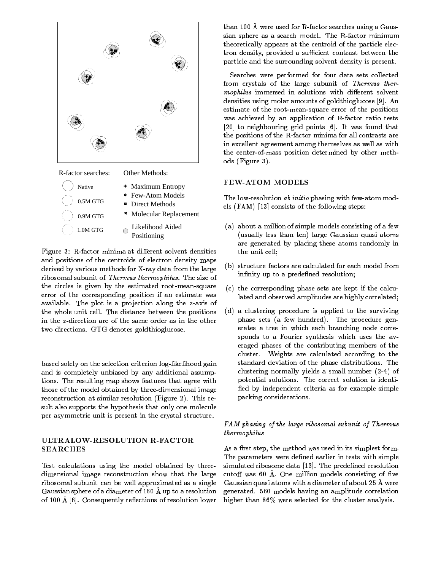

R-factor searches: Other Methods:



Figure 3: R-factor minima at different solvent densities and positions of the centroids of electron density maps derived by various methods for X-ray data from the large ribosomal subunit of Thermus thermophilus. The size of the circles is given by the estimated root-mean-square error of the corresponding position if an estimate was available. The plot is a projection along the z-axis of the whole unit cell. The distance between the positions in the z-direction are of the same order as in the other two directions. GTG denotes goldthioglucose.

based solely on the selection criterion log-likelihood gain and is completely unbiased by any additional assumptions. The resulting map shows features that agree with those of the model obtained by three-dimensional image reconstruction at similar resolution (Figure 2). This result also supports the hypothesis that only one molecule per asymmetric unit is present in the crystal structure.

## ULTRALOW-RESOLUTION R-FACTOR SEARCHES

Test calculations using the model obtained by threedimensional image reconstruction show that the large ribosomal subunit can be well approximated as a single Gaussian sphere of a diameter of 160 A up to a resolution of 100 Å [6]. Consequently reflections of resolution lower than 100 A were used for R-factor searches using a Gaussian sphere as a search model. The R-factor minimum theoretically appears at the centroid of the particle electron density, provided a sufficient contrast between the particle and the surrounding solvent density is present.

Searches were performed for four data sets collected from crystals of the large subunit of Thermus thermophilus immersed in solutions with different solvent densities using molar amounts of goldthioglucose [9]. An estimate of the root-mean-square error of the positions was achieved by an application of R-factor ratio tests [20] to neighbouring grid points [6]. It was found that the positions of the R-factor minima for all contrasts are in excellent agreement among themselves as well as with the center-of-mass position determined by other methods (Figure 3).

# FEW-ATOM MODELS

The low-resolution ab initio phasing with few-atom models (FAM) [13] consists of the following steps:

- (a) about a million of simple models consisting of a few (usually less than ten) large Gaussian quasi atoms are generated by placing these atoms randomly in the unit cell;
- (b) structure factors are calculated for each model from infinity up to a predefined resolution;
- (c) the corresponding phase sets are kept if the calculated and observed amplitudes are highly correlated;
- (d) a clustering procedure is applied to the surviving phase sets (a few hundred). The procedure generates a tree in which each branching node corresponds to a Fourier synthesis which uses the averaged phases of the contributing members of the cluster. Weights are calculated according to the standard deviation of the phase distributions. The clustering normally yields a small number (2-4) of potential solutions. The correct solution is identi fied by independent criteria as for example simple packing considerations.

## FAM phasing of the large ribosomal subunit of Thermus thermophilus

As a first step, the method was used in its simplest form. The parameters were defined earlier in tests with simple simulated ribosome data [13]. The predefined resolution cutoff was  $60$  Å. One million models consisting of five Gaussian quasi atoms with a diameter of about 25 A were generated. 560 models having an amplitude correlation higher than 86% were selected for the cluster analysis.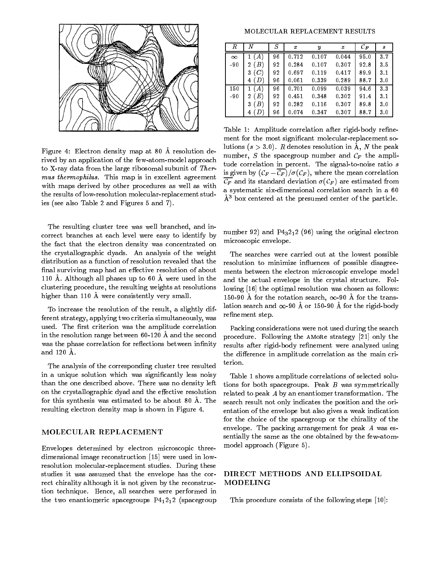

Figure 4: Electron density map at 80 A resolution derived by an application of the few-atom-model approach to X-ray data from the large ribosomal subunit of Ther mus thermophilus. This map is in excellent agreement with maps derived by other procedures as well as with the results of low-resolution molecular-replacement studies (see also Table 2 and Figures 5 and 7).

The resulting cluster tree was well branched, and incorrect branches at each level were easy to identify by the fact that the electron density was concentrated on the crystallographic dyads. An analysis of the weight distribution as a function of resolution revealed that the final surviving map had an effective resolution of about 110 A. Although all phases up to 60 A were used in the clustering procedure, the resulting weights at resolutions higher than 110 Å were consistently very small.

To increase the resolution of the result, a slightly different strategy, applying two criteria simultaneously, was used. The first criterion was the amplitude correlation in the resolution range between 60-120 A and the second was the phase correlation for reflections between infinity and 120 A.

The analysis of the corresponding cluster tree resulted in a unique solution which was signicantly less noisy than the one described above. There was no density left on the crystallographic dyad and the effective resolution for this synthesis was estimated to be about 80 A. The resulting electron density map is shown in Figure 4.

#### MOLECULAR REPLACEMENT

Envelopes determined by electron microscopic threedimensional image reconstruction [15] were used in lowresolution molecular-replacement studies. During these studies it was assumed that the envelope has the correct chirality although it is not given by the reconstruction technique. Hence, all searches were performed in the two enantiomeric spacegroups  $P4_12_12$  (spacegroup

#### MOLECULAR REPLACEMENT RESULTS

| R        | N                | S  | x     | Y       | z     | ${\cal C}_F$ | s              |
|----------|------------------|----|-------|---------|-------|--------------|----------------|
| $\infty$ | $\boldsymbol{A}$ | 96 | 0.712 | 0.107   | 0.044 | 95.0         | 3.7            |
| $-90$    | B)<br>2          | 92 | 0.284 | 0.107   | 0.307 | 92.8         | 35             |
|          | (C)<br>3         | 92 | 0697  | 0 1 1 9 | 0.417 | 899          | 3.1            |
|          | (D)<br>4         | 96 | 0.061 | 0.339   | 0.289 | 887          | 3 <sub>0</sub> |
| 150      | (A)<br>1         | 96 | 0.701 | 0.099   | 0.039 | 946          | 3 <sub>3</sub> |
| $-90$    | (E)<br>2         | 92 | 0451  | 0.348   | 0.302 | 91.4         | 3 <sub>1</sub> |
|          | (B)<br>3         | 92 | 0.282 | 0.116   | 0.307 | 898          | 3 <sub>0</sub> |
|          | , D<br>4         | 96 | 0.074 | 0.347   | 0.307 | 887          | 3 <sub>0</sub> |

Table 1: Amplitude correlation after rigid-body refinement for the most signicant molecular-replacement solutions  $(s > 3.0)$ . R denotes resolution in A, N the peak number, S the spacegroup number and  $C_F$  the amplitude correlation in percent. The signal-to-noise ratio s is given by  $(\mathcal{C}_F - \overline{\mathcal{C}_F})/\sigma(\mathcal{C}_F)$ , where the mean correlation  $\overline{\mathcal{C}_F}$  and its standard deviation  $\sigma(\mathcal{C}_F)$  are estimated from a systematic six-dimensional correlation search in a 60  $\AA^3$  box centered at the presumed center of the particle.

number 92) and  $P_{3212}$  (96) using the original electron microscopic envelope.

The searches were carried out at the lowest possible resolution to minimize influences of possible disagreements between the electron microscopic envelope model and the actual envelope in the crystal structure. Following [16] the optimal resolution was chosen as follows: 150-90 Å for the rotation search,  $\infty$ -90 Å for the translation search and  $\infty$ -90 Å or 150-90 Å for the rigid-body refinement step.

Packing considerations were not used during the search procedure. Following the AMORe strategy [21] only the results after rigid-body refinement were analyzed using the difference in amplitude correlation as the main criterion.

Table 1 shows amplitude correlations of selected solutions for both spacegroups. Peak  $B$  was symmetrically related to peak A by an enantiomer transformation. The search result not only indicates the position and the orientation of the envelope but also gives a weak indication for the choice of the spacegroup or the chirality of the envelope. The packing arrangement for peak A was essentially the same as the one obtained by the few-atommodel approach (Figure 5).

#### DIRECT METHODS AND ELLIPSOIDAL MODELING

This procedure consists of the following steps [10]: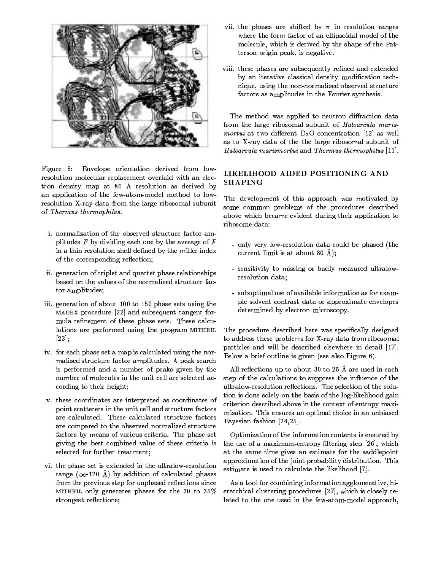

Figure 5: Envelope orientation derived from lowresolution molecular replacement overlaid with an electron density map at 80 A resolution as derived by an application of the few-atom-model method to lowresolution X-ray data from the large ribosomal subunit of Thermus thermophilus.

- i. normalization of the observed structure factor amplitudes  $F$  by dividing each one by the average of  $F$ in a thin resolution shell defined by the miller index of the corresponding reflection;
- ii. generation of triplet and quartet phase relationships based on the values of the normalized structure factor amplitudes;
- iii. generation of about 100 to 150 phase sets using the magex procedure [22] and subsequent tangent formula refinement of these phase sets. These calculations are performed using the program MITHRIL [23];
- iv. for each phase set a map is calculated using the nor malized structure factor amplitudes. A peak search is performed and a number of peaks given by the number of molecules in the unit cell are selected according to their height;
- v. these coordinates are interpreted as coordinates of point scatterers in the unit cell and structure factors are calculated. These calculated structure factors are compared to the observed normalized structure factors by means of various criteria. The phase set giving the best combined value of these criteria is selected for further treatment;
- vi. the phase set is extended in the ultralow-resolution range ( $\infty$ -120 Å) by addition of calculated phases from the previous step for unphased reflections since MITHRIL only generates phases for the 30 to  $35\%$ strongest reflections;
- vii. the phases are shifted by  $\pi$  in resolution ranges where the form factor of an ellipsoidal model of the molecule, which is derived by the shape of the Patterson origin peak, is negative.
- viii. these phases are subsequently refined and extended by an iterative classical density modification technique, using the non-normalized observed structure factors as amplitudes in the Fourier synthesis.

The method was applied to neutron diffraction data from the large ribosomal subunit of Haloarcula marismortui at two different  $D_2O$  concentration [12] as well as to X-ray data of the the large ribosomal subunit of Haloarcula marismortui and Thermus thermophilus [11].

# LIKELIHOOD AIDED POSITIONING AND SHAPING

The development of this approach was motivated by some common problems of the procedures described above which became evident during their application to ribosome data:

- only very low-resolution data could be phased (the current limit is at about 80 A);
- sensitivity to missing or badly measured ultralowresolution data;
- suboptimal use of available information as for example solvent contrast data or approximate envelopes determined by electron microscopy.

The procedure described here was specifically designed to address these problems for X-ray data from ribosomal particles and will be described elsewhere in detail [17]. Below a brief outline is given (see also Figure 6).

All reflections up to about 30 to 25 Å are used in each step of the calculations to suppress the influence of the ultralow-resolution reflections. The selection of the solution is done solely on the basis of the log-likelihood gain criterion described above in the context of entropy maxi mization. This ensures an optimal choice in an unbiased Bayesian fashion [24,25].

Optimization of the information contents is ensured by the use of a maximum-entropy filtering step [26], which at the same time gives an estimate for the saddlepoint approximation of the joint probability distribution. This estimate is used to calculate the likelihood [7].

As a tool for combining information agglomerative, hierarchical clustering procedures [27], which is closely related to the one used in the few-atom-model approach,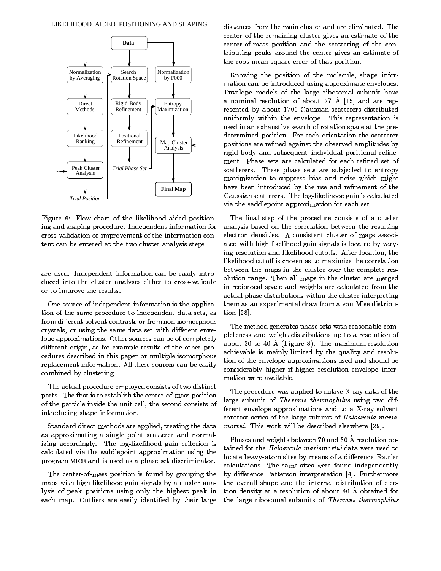

Figure 6: Flow chart of the likelihood aided positioning and shaping procedure. Independent information for cross-validation or improvement of the information content can be entered at the two cluster analysis steps.

are used. Independent information can be easily introduced into the cluster analyses either to cross-validate or to improve the results.

One source of independent information is the application of the same procedure to independent data sets, as from different solvent contrasts or from non-isomorphous crystals, or using the same data set with different envelope approximations. Other sources can be of completely different origin, as for example results of the other procedures described in this paper or multiple isomorphous replacement information. All these sources can be easily combined by clustering.

The actual procedure employed consists of two distinct parts. The first is to establish the center-of-mass position of the particle inside the unit cell, the second consists of introducing shape information.

Standard direct methods are applied, treating the data as approximating a single point scatterer and normalizing accordingly. The log-likelihood gain criterion is calculated via the saddlepoint approximation using the program mice and is used as a phase set discriminator.

The center-of-mass position is found by grouping the maps with high likelihood gain signals by a cluster analysis of peak positions using only the highest peak in each map. Outliers are easily identified by their large distances from the main cluster and are eliminated. The center of the remaining cluster gives an estimate of the center-of-mass position and the scattering of the contributing peaks around the center gives an estimate of the root-mean-square error of that position.

Knowing the position of the molecule, shape information can be introduced using approximate envelopes. Envelope models of the large ribosomal subunit have a nominal resolution of about 27  $\AA$  [15] and are represented by about 1700 Gaussian scatterers distributed uniformly within the envelope. This representation is used in an exhaustive search of rotation space at the predetermined position. For each orientation the scatterer positions are refined against the observed amplitudes by rigid-body and subsequent individual positional refinement. Phase sets are calculated for each refined set of scatterers. These phase sets are subjected to entropy maximization to suppress bias and noise which might have been introduced by the use and refinement of the Gaussian scatterers. The log-likelihood gain is calculated via the saddlepoint approximation for each set.

The final step of the procedure consists of a cluster analysis based on the correlation between the resulting electron densities. A consistent cluster of maps associated with high likelihood gain signals is located by varying resolution and likelihood cutoffs. After location, the likelihood cutoff is chosen as to maximize the correlation between the maps in the cluster over the complete resolution range. Then all maps in the cluster are merged in reciprocal space and weights are calculated from the actual phase distributions within the cluster interpreting them as an experimental draw from a von Mise distribution [28].

The method generates phase sets with reasonable completeness and weight distributions up to a resolution of about 30 to 40 A (Figure 8). The maximum resolution achievable is mainly limited by the quality and resolution of the envelope approximations used and should be considerably higher if higher resolution envelope information were available.

The procedure was applied to native X-ray data of the large subunit of Thermus thermophilus using two different envelope approximations and to a X-ray solvent contrast series of the large subunit of Haloarcula marismortui. This work will be described elsewhere [29].

Phases and weights between 70 and 30 A resolution obtained for the Haloarcula marismortui data were used to locate heavy-atom sites by means of a difference Fourier calculations. The same sites were found independently by difference Patterson interpretation [4]. Furthermore the overall shape and the internal distribution of electron density at a resolution of about 40 A obtained for the large ribosomal subunits of Thermus thermophilus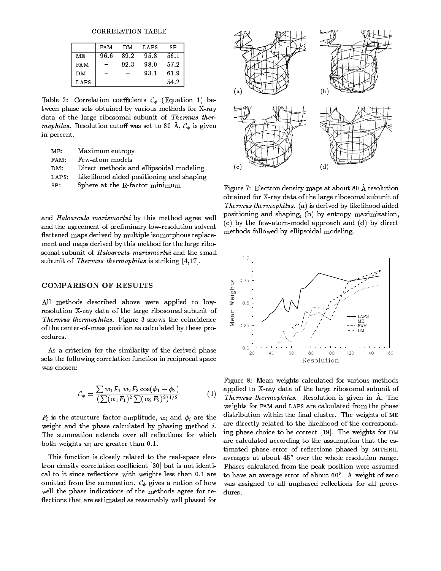**CORRELATION TABLE** 

|            | FA M   | DМ   | LAPS | S P  |
|------------|--------|------|------|------|
| MЕ         | 96.6   | 89.2 | 95.8 | 56.1 |
| <b>FAM</b> | $\sim$ | 92.3 | 98.0 | 57.2 |
| DM.        |        |      | 93.1 | 61.9 |
| LAPS       |        |      |      | 54.2 |

Table 2: Correlation coefficients  $\mathcal{C}_{\phi}$  (Equation 1) between phase sets obtained by various methods for X-ray data of the large ribosomal subunit of Thermus thermophilus. Resolution cutoff was set to 80 Å,  $\mathcal{C}_{\phi}$  is given in percent.

| ME:   | Maximum entropy                          |
|-------|------------------------------------------|
| FAM:  | Few-atom models                          |
| DM:   | Direct methods and ellipsoidal modeling  |
| LAPS: | Likelihood aided positioning and shaping |
| SP:   | Sphere at the R-factor minimum           |

and Haloarcula marismortui by this method agree well and the agreement of preliminary low-resolution solvent flattened maps derived by multiple isomorphous replacement and maps derived by this method for the large ribosomal subunit of Haloarcula marismortui and the small subunit of Thermus thermophilus is striking [4,17].

### COMPARISON OF RESULTS

All methods described above were applied to lowresolution X-ray data of the large ribosomal subunit of Thermus thermophilus. Figure 3 shows the coincidence of the center-of-mass position as calculated by these procedures.

As a criterion for the similarity of the derived phase sets the following correlation function in reciprocal space was chosen:

$$
\mathcal{C}_{\phi} = \frac{\sum w_1 F_1 w_2 F_2 \cos(\phi_1 - \phi_2)}{(\sum (w_1 F_1)^2 \sum (w_2 F_2)^2)^{1/2}} \tag{1}
$$

 $F_i$  is the structure factor amplitude,  $w_i$  and  $\phi_i$  are the weight and the phase calculated by phasing method i. The summation extends over all reflections for which both weights  $w_i$  are greater than 0.1.

This function is closely related to the real-space electron density correlation coefficient [30] but is not identical to it since reflections with weights less than 0.1 are omitted from the summation.  $\mathcal{C}_{\phi}$  gives a notion of how well the phase indications of the methods agree for re flections that are estimated as reasonably well phased for



Figure 7: Electron density maps at about 80 A resolution obtained for X-ray data of the large ribosomal subunit of Thermus thermophilus. (a) is derived by likelihood aided positioning and shaping, (b) by entropy maximization, (c) by the few-atom-model approach and (d) by direct methods followed by ellipsoidal modeling.



 $\lq$  . Thermus thermophilus. Resolution is given in A. The  $\lq$ Figure 8: Mean weights calculated for various methods applied to X-ray data of the large ribosomal subunit of weights for FAM and LAPS are calculated from the phase distribution within the final cluster. The weights of ME are directly related to the likelihood of the corresponding phase choice to be correct  $[19]$ . The weights for DM are calculated according to the assumption that the estimated phase error of reflections phased by MITHRIL averages at about  $45^{\circ}$  over the whole resolution range. Phases calculated from the peak position were assumed to have an average error of about 60°. A weight of zero was assigned to all unphased reflections for all procedures.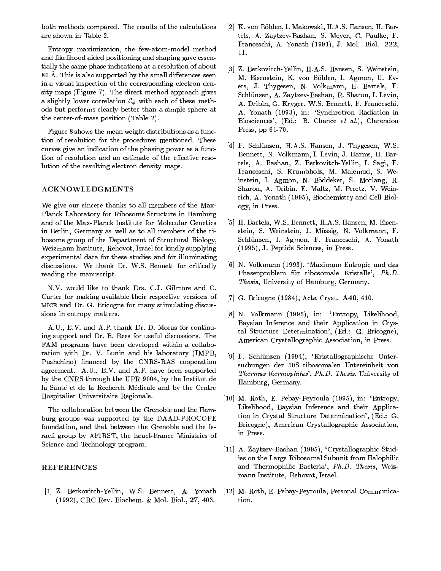both methods compared. The results of the calculations are shown in Table 2.

Entropy maximization, the few-atom-model method and likelihood aided positioning and shaping gave essentially the same phase indications at a resolution of about 80 Å. This is also supported by the small differences seen in a visual inspection of the corresponding electron density maps (Figure 7). The direct method approach gives a slightly lower correlation  $\mathcal{C}_{\phi}$  with each of these methods but performs clearly better than a simple sphere at the center-of-mass position (Table 2).

Figure 8 shows the mean weight distributions as a function of resolution for the procedures mentioned. These curves give an indication of the phasing power as a function of resolution and an estimate of the effective resolution of the resulting electron density maps.

#### ACKNOWLEDGMENTS

We give our sincere thanks to all members of the Max-Planck Laboratory for Ribosome Structure in Hamburg and of the Max-Planck Institute for Molecular Genetics in Berlin, Germany as well as to all members of the ribosome group of the Department of Structural Biology, Weizmann Institute, Rehovot, Israel for kindly supplying experimental data for these studies and for illuminating discussions. We thank Dr. W.S. Bennett for critically reading the manuscript.

N.V. would like to thank Drs. C.J. Gilmore and C. Carter for making available their respective versions of mice and Dr. G. Bricogne for many stimulating discussions in entropy matters.

A.U., E.V. and A.P. thank Dr. D. Moras for continuing support and Dr. B. Rees for useful discussions. The FAM programs have been developed within a collaboration with Dr. V. Lunin and his laboratory (IMPB, Pushchino) financed by the CNRS-RAS cooperation agreement. A.U., E.V. and A.P. have been supported by the CNRS through the UPR 9004, by the Institut de la Santé et de la Recherch Médicale and by the Centre Hospitalier Universitaire Regionale.

The collaboration between the Grenoble and the Hamburg groups was supported by the DAAD-PROCOPE foundation, and that between the Grenoble and the Israeli group by AFIRST, the Israel-France Ministries of Science and Technology program.

#### REFERENCES

[1] Z. Berkovitch-Yellin, W.S. Bennett, A. Yonath (1992), CRC Rev. Biochem. & Mol. Biol., 27, 403.

- [2] K. von Böhlen, I. Makowski, H.A.S. Hansen, H. Bartels, A. Zaytzev-Bashan, S. Meyer, C. Paulke, F. Franceschi, A. Yonath (1991), J. Mol. Biol. 222,
- [3] Z. Berkovitch-Yellin, H.A.S. Hansen, S. Weinstein, M. Eisenstein, K. von Bohlen, I. Agmon, U. Evers, J. Thygesen, N. Volkmann, H. Bartels, F. Schlunzen, A. Zaytzev-Bashan, R. Sharon, I. Levin, A. Dribin, G. Kryger, W.S. Bennett, F. Franceschi, A. Yonath (1993), in: `Synchrotron Radiation in Biosciences', (Ed.: B. Chance et al.), Clarendon Press, pp 61-70.
- [4] F. Schlünzen, H.A.S. Hansen, J. Thygesen, W.S. Bennett, N. Volkmann, I. Levin, J. Harms, H. Bartels, A. Bashan, Z. Berkovitch-Yellin, I. Sagi, F. Franceschi, S. Krumbholz, M. Malemud, S. Weinstein, I. Agmon, N. Boddeker, S. Morlang, R. Sharon, A. Dribin, E. Maltz, M. Peretz, V. Weinrich, A. Yonath (1995), Biochemistry and Cell Biology, in Press.
- [5] H. Bartels, W.S. Bennett, H.A.S. Hansen, M. Eisenstein, S. Weinstein, J. Müssig, N. Volkmann, F. Schlunzen, I. Agmon, F. Franceschi, A. Yonath (1995), J. Peptide Sciences, in Press.
- [6] N. Volkmann (1993), 'Maximum Entropie und das Phasenproblem für ribosomale Kristalle', Ph.D. Thesis, University of Hamburg, Germany.
- [7] G. Bricogne (1984), Acta Cryst. A40, 410.
- [8] N. Volkmann (1995), in: 'Entropy, Likelihood, Baysian Inference and their Application in Crystal Structure Determination', (Ed.: G. Bricogne), American Crystallographic Association, in Press.
- [9] F. Schlunzen (1994), `Kristallographische Untersuchungen der 50S ribosomalen Untereinheit von Thermus thermophilus', Ph.D. Thesis, University of Hamburg, Germany.
- [10] M. Roth, E. Pebay-Peyroula (1995), in: 'Entropy, Likelihood, Baysian Inference and their Application in Crystal Structure Determination', (Ed.: G. Bricogne), American Crystallographic Association, in Press.
- [11] A. Zaytzev-Bashan (1995), 'Crystallographic Studies on the Large Ribosomal Subunit from Halophilic and Thermophilic Bacteria', Ph.D. Thesis, Weiz mann Institute, Rehovot, Israel.
- [12] M. Roth, E. Pebay-Peyroula, Personal Communication.